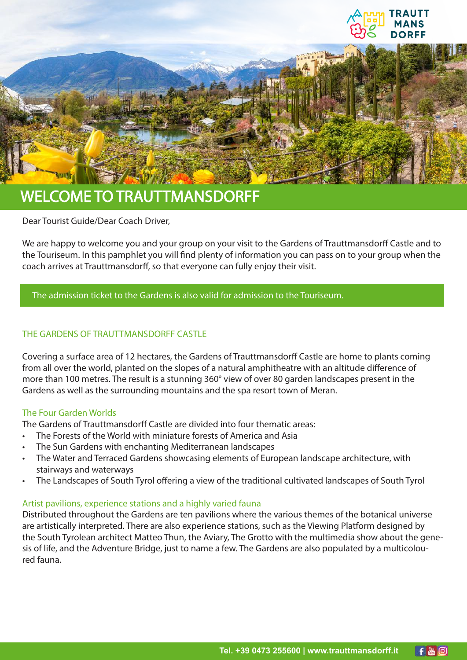

## WELCOME TO TRAUTTMANSDORFF

Dear Tourist Guide/Dear Coach Driver,

We are happy to welcome you and your group on your visit to the Gardens of Trauttmansdorff Castle and to the Touriseum. In this pamphlet you will find plenty of information you can pass on to your group when the coach arrives at Trauttmansdorff, so that everyone can fully enjoy their visit.

## The admission ticket to the Gardens is also valid for admission to the Touriseum.

## THE GARDENS OF TRAUTTMANSDORFF CASTLE

Covering a surface area of 12 hectares, the Gardens of Trauttmansdorff Castle are home to plants coming from all over the world, planted on the slopes of a natural amphitheatre with an altitude difference of more than 100 metres. The result is a stunning 360° view of over 80 garden landscapes present in the Gardens as well as the surrounding mountains and the spa resort town of Meran.

## The Four Garden Worlds

The Gardens of Trauttmansdorff Castle are divided into four thematic areas:

- The Forests of the World with miniature forests of America and Asia
- The Sun Gardens with enchanting Mediterranean landscapes
- The Water and Terraced Gardens showcasing elements of European landscape architecture, with stairways and waterways
- The Landscapes of South Tyrol offering a view of the traditional cultivated landscapes of South Tyrol

#### Artist pavilions, experience stations and a highly varied fauna

Distributed throughout the Gardens are ten pavilions where the various themes of the botanical universe are artistically interpreted. There are also experience stations, such as the Viewing Platform designed by the South Tyrolean architect Matteo Thun, the Aviary, The Grotto with the multimedia show about the genesis of life, and the Adventure Bridge, just to name a few. The Gardens are also populated by a multicoloured fauna.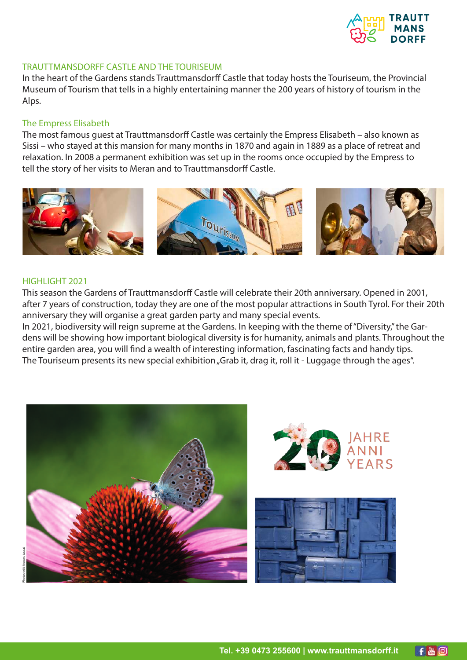

#### TRAUTTMANSDORFF CASTLE AND THE TOURISEUM

In the heart of the Gardens stands Trauttmansdorff Castle that today hosts the Touriseum, the Provincial Museum of Tourism that tells in a highly entertaining manner the 200 years of history of tourism in the Alps.

#### The Empress Elisabeth

The most famous guest at Trauttmansdorff Castle was certainly the Empress Elisabeth – also known as Sissi – who stayed at this mansion for many months in 1870 and again in 1889 as a place of retreat and relaxation. In 2008 a permanent exhibition was set up in the rooms once occupied by the Empress to tell the story of her visits to Meran and to Trauttmansdorff Castle.



#### HIGHLIGHT 2021

This season the Gardens of Trauttmansdorff Castle will celebrate their 20th anniversary. Opened in 2001, after 7 years of construction, today they are one of the most popular attractions in South Tyrol. For their 20th anniversary they will organise a great garden party and many special events.

In 2021, biodiversity will reign supreme at the Gardens. In keeping with the theme of "Diversity," the Gardens will be showing how important biological diversity is for humanity, animals and plants. Throughout the entire garden area, you will find a wealth of interesting information, fascinating facts and handy tips. The Touriseum presents its new special exhibition "Grab it, drag it, roll it - Luggage through the ages".



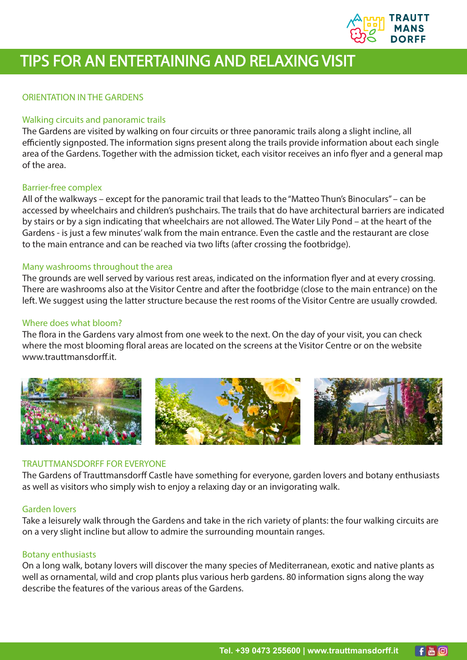

# TIPS FOR AN ENTERTAINING AND RELAXING VISIT

## ORIENTATION IN THE GARDENS

#### Walking circuits and panoramic trails

The Gardens are visited by walking on four circuits or three panoramic trails along a slight incline, all efficiently signposted. The information signs present along the trails provide information about each single area of the Gardens. Together with the admission ticket, each visitor receives an info flyer and a general map of the area.

#### Barrier-free complex

All of the walkways – except for the panoramic trail that leads to the "Matteo Thun's Binoculars" – can be accessed by wheelchairs and children's pushchairs. The trails that do have architectural barriers are indicated by stairs or by a sign indicating that wheelchairs are not allowed. The Water Lily Pond – at the heart of the Gardens - is just a few minutes' walk from the main entrance. Even the castle and the restaurant are close to the main entrance and can be reached via two lifts (after crossing the footbridge).

#### Many washrooms throughout the area

The grounds are well served by various rest areas, indicated on the information flyer and at every crossing. There are washrooms also at the Visitor Centre and after the footbridge (close to the main entrance) on the left. We suggest using the latter structure because the rest rooms of the Visitor Centre are usually crowded.

#### Where does what bloom?

The flora in the Gardens vary almost from one week to the next. On the day of your visit, you can check where the most blooming floral areas are located on the screens at the Visitor Centre or on the website www.trauttmansdorff.it.



#### TRAUTTMANSDORFF FOR EVERYONE

The Gardens of Trauttmansdorff Castle have something for everyone, garden lovers and botany enthusiasts as well as visitors who simply wish to enjoy a relaxing day or an invigorating walk.

#### Garden lovers

Take a leisurely walk through the Gardens and take in the rich variety of plants: the four walking circuits are on a very slight incline but allow to admire the surrounding mountain ranges.

#### Botany enthusiasts

On a long walk, botany lovers will discover the many species of Mediterranean, exotic and native plants as well as ornamental, wild and crop plants plus various herb gardens. 80 information signs along the way describe the features of the various areas of the Gardens.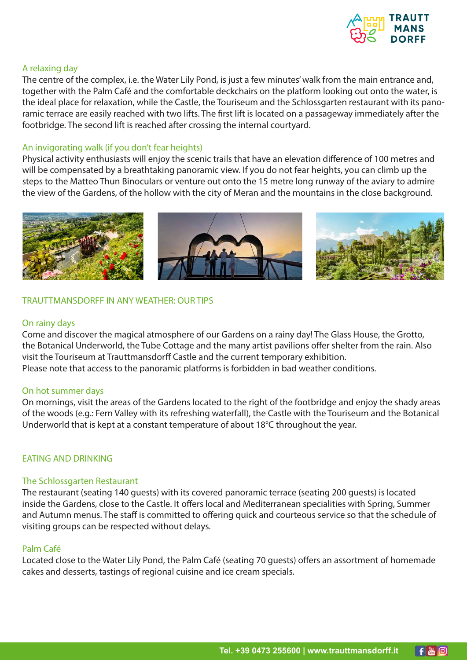

### A relaxing day

The centre of the complex, i.e. the Water Lily Pond, is just a few minutes' walk from the main entrance and, together with the Palm Café and the comfortable deckchairs on the platform looking out onto the water, is the ideal place for relaxation, while the Castle, the Touriseum and the Schlossgarten restaurant with its panoramic terrace are easily reached with two lifts. The first lift is located on a passageway immediately after the footbridge. The second lift is reached after crossing the internal courtyard.

#### An invigorating walk (if you don't fear heights)

Physical activity enthusiasts will enjoy the scenic trails that have an elevation difference of 100 metres and will be compensated by a breathtaking panoramic view. If you do not fear heights, you can climb up the steps to the Matteo Thun Binoculars or venture out onto the 15 metre long runway of the aviary to admire the view of the Gardens, of the hollow with the city of Meran and the mountains in the close background.



#### TRAUTTMANSDORFF IN ANY WEATHER: OUR TIPS

#### On rainy days

Come and discover the magical atmosphere of our Gardens on a rainy day! The Glass House, the Grotto, the Botanical Underworld, the Tube Cottage and the many artist pavilions offer shelter from the rain. Also visit the Touriseum at Trauttmansdorff Castle and the current temporary exhibition. Please note that access to the panoramic platforms is forbidden in bad weather conditions.

#### On hot summer days

On mornings, visit the areas of the Gardens located to the right of the footbridge and enjoy the shady areas of the woods (e.g.: Fern Valley with its refreshing waterfall), the Castle with the Touriseum and the Botanical Underworld that is kept at a constant temperature of about 18°C throughout the year.

#### EATING AND DRINKING

#### The Schlossgarten Restaurant

The restaurant (seating 140 guests) with its covered panoramic terrace (seating 200 guests) is located inside the Gardens, close to the Castle. It offers local and Mediterranean specialities with Spring, Summer and Autumn menus. The staff is committed to offering quick and courteous service so that the schedule of visiting groups can be respected without delays.

## Palm Café

Located close to the Water Lily Pond, the Palm Café (seating 70 guests) offers an assortment of homemade cakes and desserts, tastings of regional cuisine and ice cream specials.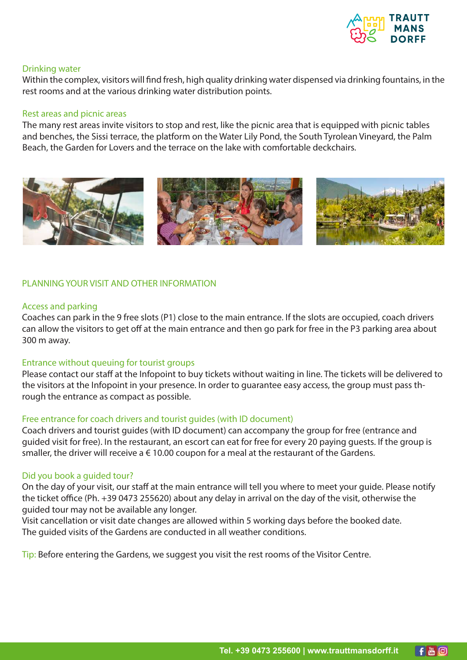

#### Drinking water

Within the complex, visitors will find fresh, high quality drinking water dispensed via drinking fountains, in the rest rooms and at the various drinking water distribution points.

#### Rest areas and picnic areas

The many rest areas invite visitors to stop and rest, like the picnic area that is equipped with picnic tables and benches, the Sissi terrace, the platform on the Water Lily Pond, the South Tyrolean Vineyard, the Palm Beach, the Garden for Lovers and the terrace on the lake with comfortable deckchairs.



#### PLANNING YOUR VISIT AND OTHER INFORMATION

#### Access and parking

Coaches can park in the 9 free slots (P1) close to the main entrance. If the slots are occupied, coach drivers can allow the visitors to get off at the main entrance and then go park for free in the P3 parking area about 300 m away.

#### Entrance without queuing for tourist groups

Please contact our staff at the Infopoint to buy tickets without waiting in line. The tickets will be delivered to the visitors at the Infopoint in your presence. In order to guarantee easy access, the group must pass through the entrance as compact as possible.

#### Free entrance for coach drivers and tourist guides (with ID document)

Coach drivers and tourist guides (with ID document) can accompany the group for free (entrance and guided visit for free). In the restaurant, an escort can eat for free for every 20 paying guests. If the group is smaller, the driver will receive a  $\epsilon$  10.00 coupon for a meal at the restaurant of the Gardens.

#### Did you book a guided tour?

On the day of your visit, our staff at the main entrance will tell you where to meet your guide. Please notify the ticket office (Ph. +39 0473 255620) about any delay in arrival on the day of the visit, otherwise the guided tour may not be available any longer.

Visit cancellation or visit date changes are allowed within 5 working days before the booked date. The guided visits of the Gardens are conducted in all weather conditions.

Tip: Before entering the Gardens, we suggest you visit the rest rooms of the Visitor Centre.